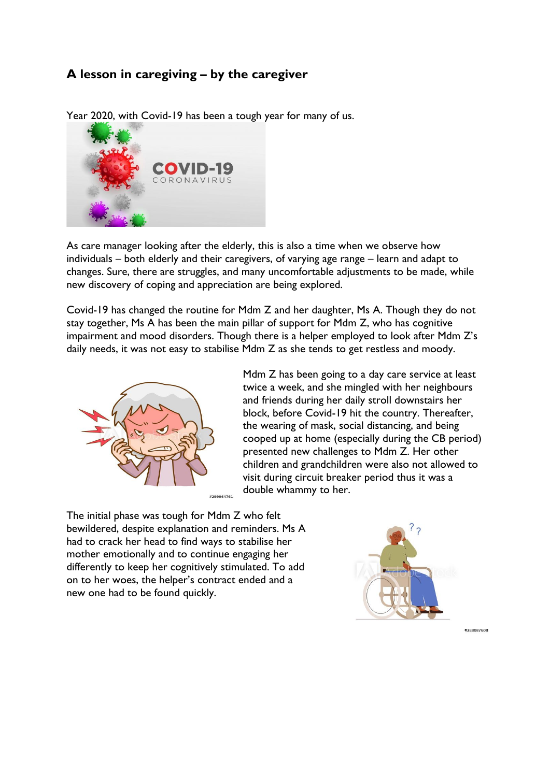## **A lesson in caregiving – by the caregiver**



Year 2020, with Covid-19 has been a tough year for many of us.

As care manager looking after the elderly, this is also a time when we observe how individuals – both elderly and their caregivers, of varying age range – learn and adapt to changes. Sure, there are struggles, and many uncomfortable adjustments to be made, while new discovery of coping and appreciation are being explored.

Covid-19 has changed the routine for Mdm Z and her daughter, Ms A. Though they do not stay together, Ms A has been the main pillar of support for Mdm Z, who has cognitive impairment and mood disorders. Though there is a helper employed to look after Mdm Z's daily needs, it was not easy to stabilise Mdm Z as she tends to get restless and moody.



Mdm Z has been going to a day care service at least twice a week, and she mingled with her neighbours and friends during her daily stroll downstairs her block, before Covid-19 hit the country. Thereafter, the wearing of mask, social distancing, and being cooped up at home (especially during the CB period) presented new challenges to Mdm Z. Her other children and grandchildren were also not allowed to visit during circuit breaker period thus it was a double whammy to her.

The initial phase was tough for Mdm Z who felt bewildered, despite explanation and reminders. Ms A had to crack her head to find ways to stabilise her mother emotionally and to continue engaging her differently to keep her cognitively stimulated. To add on to her woes, the helper's contract ended and a new one had to be found quickly.



#388087608